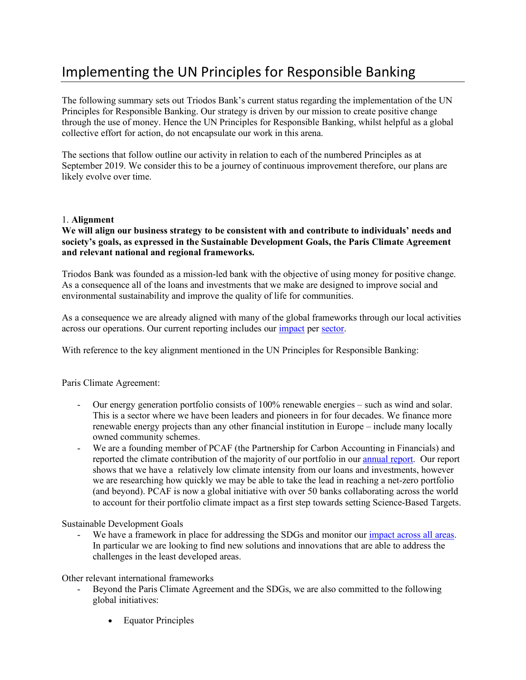# Implementing the UN Principles for Responsible Banking

The following summary sets out Triodos Bank's current status regarding the implementation of the UN Principles for Responsible Banking. Our strategy is driven by our mission to create positive change through the use of money. Hence the UN Principles for Responsible Banking, whilst helpful as a global collective effort for action, do not encapsulate our work in this arena.

The sections that follow outline our activity in relation to each of the numbered Principles as at September 2019. We consider this to be a journey of continuous improvement therefore, our plans are likely evolve over time.

# 1. **Alignment**

# **We will align our business strategy to be consistent with and contribute to individuals' needs and society's goals, as expressed in the Sustainable Development Goals, the Paris Climate Agreement and relevant national and regional frameworks.**

Triodos Bank was founded as a mission-led bank with the objective of using money for positive change. As a consequence all of the loans and investments that we make are designed to improve social and environmental sustainability and improve the quality of life for communities.

As a consequence we are already aligned with many of the global frameworks through our local activities across our operations. Our current reporting includes our impact per sector.

With reference to the key alignment mentioned in the UN Principles for Responsible Banking:

Paris Climate Agreement:

- Our energy generation portfolio consists of 100% renewable energies such as wind and solar. This is a sector where we have been leaders and pioneers in for four decades. We finance more renewable energy projects than any other financial institution in Europe – include many locally owned community schemes.
- We are a founding member of PCAF (the Partnership for Carbon Accounting in Financials) and reported the climate contribution of the majority of our portfolio in our annual report. Our report shows that we have a relatively low climate intensity from our loans and investments, however we are researching how quickly we may be able to take the lead in reaching a net-zero portfolio (and beyond). PCAF is now a global initiative with over 50 banks collaborating across the world to account for their portfolio climate impact as a first step towards setting Science-Based Targets.

Sustainable Development Goals

We have a framework in place for addressing the SDGs and monitor our impact across all areas. In particular we are looking to find new solutions and innovations that are able to address the challenges in the least developed areas.

Other relevant international frameworks

- Beyond the Paris Climate Agreement and the SDGs, we are also committed to the following global initiatives:
	- Equator Principles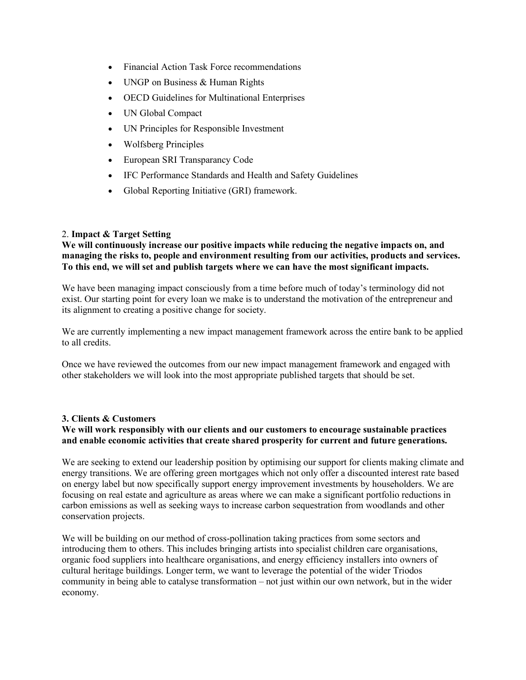- Financial Action Task Force recommendations
- UNGP on Business & Human Rights
- OECD Guidelines for Multinational Enterprises
- UN Global Compact
- UN Principles for Responsible Investment
- Wolfsberg Principles
- European SRI Transparancy Code
- IFC Performance Standards and Health and Safety Guidelines
- Global Reporting Initiative (GRI) framework.

# 2. **Impact & Target Setting**

**We will continuously increase our positive impacts while reducing the negative impacts on, and managing the risks to, people and environment resulting from our activities, products and services. To this end, we will set and publish targets where we can have the most significant impacts.** 

We have been managing impact consciously from a time before much of today's terminology did not exist. Our starting point for every loan we make is to understand the motivation of the entrepreneur and its alignment to creating a positive change for society.

We are currently implementing a new impact management framework across the entire bank to be applied to all credits.

Once we have reviewed the outcomes from our new impact management framework and engaged with other stakeholders we will look into the most appropriate published targets that should be set.

# **3. Clients & Customers**

# **We will work responsibly with our clients and our customers to encourage sustainable practices and enable economic activities that create shared prosperity for current and future generations.**

We are seeking to extend our leadership position by optimising our support for clients making climate and energy transitions. We are offering green mortgages which not only offer a discounted interest rate based on energy label but now specifically support energy improvement investments by householders. We are focusing on real estate and agriculture as areas where we can make a significant portfolio reductions in carbon emissions as well as seeking ways to increase carbon sequestration from woodlands and other conservation projects.

We will be building on our method of cross-pollination taking practices from some sectors and introducing them to others. This includes bringing artists into specialist children care organisations, organic food suppliers into healthcare organisations, and energy efficiency installers into owners of cultural heritage buildings. Longer term, we want to leverage the potential of the wider Triodos community in being able to catalyse transformation – not just within our own network, but in the wider economy.